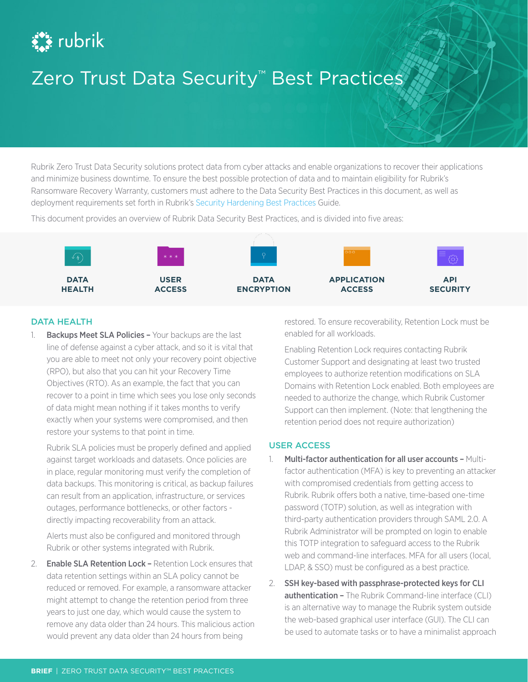# **Ext** rubrik

## Zero Trust Data Security™ Best Practices

Rubrik Zero Trust Data Security solutions protect data from cyber attacks and enable organizations to recover their applications and minimize business downtime. To ensure the best possible protection of data and to maintain eligibility for Rubrik's Ransomware Recovery Warranty, customers must adhere to the Data Security Best Practices in this document, as well as deployment requirements set forth in Rubrik's [Security Hardening Best Practices](https://www.rubrik.com/content/dam/rubrik/en/resources/white-paper/security-hardening-best-practices.pdf) Guide.

This document provides an overview of Rubrik Data Security Best Practices, and is divided into five areas:



### DATA HEALTH

1. Backups Meet SLA Policies - Your backups are the last line of defense against a cyber attack, and so it is vital that you are able to meet not only your recovery point objective (RPO), but also that you can hit your Recovery Time Objectives (RTO). As an example, the fact that you can recover to a point in time which sees you lose only seconds of data might mean nothing if it takes months to verify exactly when your systems were compromised, and then restore your systems to that point in time.

Rubrik SLA policies must be properly defined and applied against target workloads and datasets. Once policies are in place, regular monitoring must verify the completion of data backups. This monitoring is critical, as backup failures can result from an application, infrastructure, or services outages, performance bottlenecks, or other factors directly impacting recoverability from an attack.

Alerts must also be configured and monitored through Rubrik or other systems integrated with Rubrik.

2. **Enable SLA Retention Lock - Retention Lock ensures that** data retention settings within an SLA policy cannot be reduced or removed. For example, a ransomware attacker might attempt to change the retention period from three years to just one day, which would cause the system to remove any data older than 24 hours. This malicious action would prevent any data older than 24 hours from being

restored. To ensure recoverability, Retention Lock must be enabled for all workloads.

Enabling Retention Lock requires contacting Rubrik Customer Support and designating at least two trusted employees to authorize retention modifications on SLA Domains with Retention Lock enabled. Both employees are needed to authorize the change, which Rubrik Customer Support can then implement. (Note: that lengthening the retention period does not require authorization)

## USER ACCESS

- 1. Multi-factor authentication for all user accounts Multifactor authentication (MFA) is key to preventing an attacker with compromised credentials from getting access to Rubrik. Rubrik offers both a native, time-based one-time password (TOTP) solution, as well as integration with third-party authentication providers through SAML 2.0. A Rubrik Administrator will be prompted on login to enable this TOTP integration to safeguard access to the Rubrik web and command-line interfaces. MFA for all users (local, LDAP, & SSO) must be configured as a best practice.
- 2. SSH key-based with passphrase-protected keys for CLI authentication - The Rubrik Command-line interface (CLI) is an alternative way to manage the Rubrik system outside the web-based graphical user interface (GUI). The CLI can be used to automate tasks or to have a minimalist approach